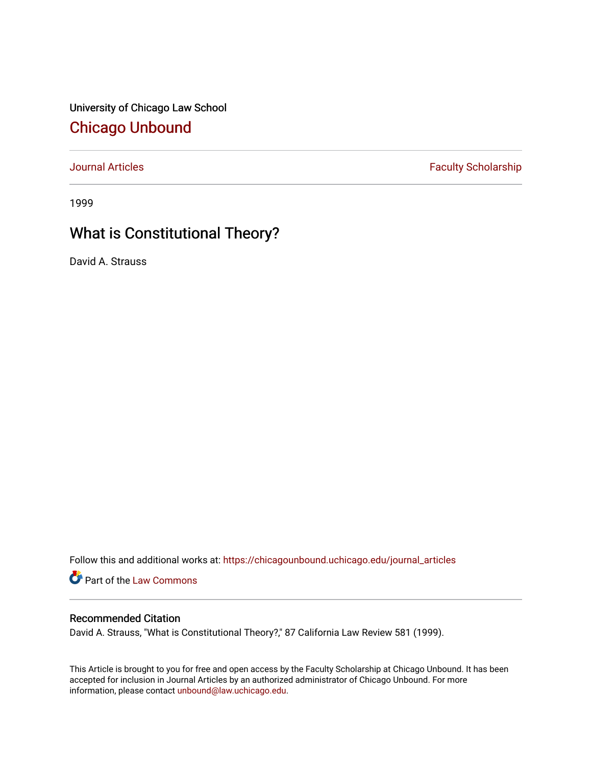University of Chicago Law School [Chicago Unbound](https://chicagounbound.uchicago.edu/)

[Journal Articles](https://chicagounbound.uchicago.edu/journal_articles) **Faculty Scholarship Faculty Scholarship** 

1999

# What is Constitutional Theory?

David A. Strauss

Follow this and additional works at: [https://chicagounbound.uchicago.edu/journal\\_articles](https://chicagounbound.uchicago.edu/journal_articles?utm_source=chicagounbound.uchicago.edu%2Fjournal_articles%2F1992&utm_medium=PDF&utm_campaign=PDFCoverPages) 

Part of the [Law Commons](http://network.bepress.com/hgg/discipline/578?utm_source=chicagounbound.uchicago.edu%2Fjournal_articles%2F1992&utm_medium=PDF&utm_campaign=PDFCoverPages)

## Recommended Citation

David A. Strauss, "What is Constitutional Theory?," 87 California Law Review 581 (1999).

This Article is brought to you for free and open access by the Faculty Scholarship at Chicago Unbound. It has been accepted for inclusion in Journal Articles by an authorized administrator of Chicago Unbound. For more information, please contact [unbound@law.uchicago.edu](mailto:unbound@law.uchicago.edu).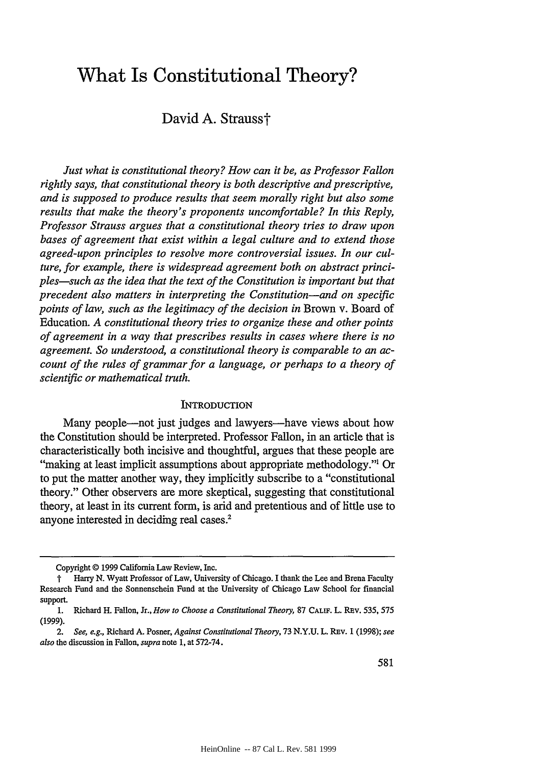## **What Is Constitutional Theory?**

## David A. Strauss<sup>†</sup>

*Just what is constitutional theory? How can it be, as Professor Fallon rightly says, that constitutional theory is both descriptive and prescriptive, and is supposed to produce results that seem morally right but also some results that make the theory's proponents uncomfortable? In this Reply, Professor Strauss argues that a constitutional theory tries to draw upon bases of agreement that exist within a legal culture and to extend those agreed-upon principles to resolve more controversial issues. In our culture, for example, there is widespread agreement both on abstract principles-such as the idea that the text of the Constitution is important but that precedent also matters in interpreting the Constitution-and on specific points of law, such as the legitimacy of the decision in Brown v. Board of* Education. *A constitutional theory tries to organize these and other points of agreement in a way that prescribes results in cases where there is no agreement. So understood, a constitutional theory is comparable to an account of the rules of grammar for a language, or perhaps to a theory of scientific or mathematical truth.*

#### **INTRODUCTION**

Many people—not just judges and lawyers—have views about how the Constitution should be interpreted. Professor Fallon, in an article that is characteristically both incisive and thoughtful, argues that these people are "making at least implicit assumptions about appropriate methodology."1 Or to put the matter another way, they implicitly subscribe to a "constitutional theory." Other observers are more skeptical, suggesting that constitutional theory, at least in its current form, is ard and pretentious and of little use to anyone interested in deciding real cases.<sup>2</sup>

Copyright © 1999 California Law Review, Inc.

**t** Harry N. Wyatt Professor of Law, University of Chicago. I thank the Lee and Brena Faculty Research Fund and the Sonnenschein Fund at the University of Chicago Law School for financial support.

<sup>1.</sup> Richard H. Fallon, Jr., *How to Choose a Constitutional Theory,* 87 CALF. L. REv. 535, **575** (1999).

*<sup>2.</sup> See, e.g.,* Richard A. Posner, *Against Constitutional Theory,* 73 N.Y.U. L. REv. 1 (1998); *see also* the discussion in Fallon, *supra* note 1, at **572-74.**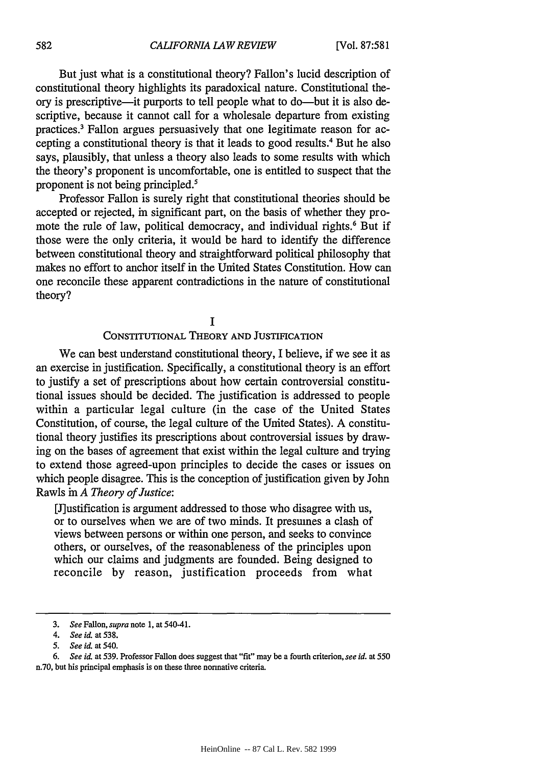But just what is a constitutional theory? Fallon's lucid description of constitutional theory highlights its paradoxical nature. Constitutional theory is prescriptive—it purports to tell people what to do—but it is also descriptive, because it cannot call for a wholesale departure from existing practices.3 Fallon argues persuasively that one legitimate reason for accepting a constitutional theory is that it leads to good results.4 But he also says, plausibly, that unless a theory also leads to some results with which the theory's proponent is uncomfortable, one is entitled to suspect that the proponent is not being principled.'

Professor Fallon is surely right that constitutional theories should be accepted or rejected, in significant part, on the basis of whether they promote the rule of law, political democracy, and individual rights.<sup>6</sup> But if those were the only criteria, it would be hard to identify the difference between constitutional theory and straightforward political philosophy that makes no effort to anchor itself in the United States Constitution. How can one reconcile these apparent contradictions in the nature of constitutional theory?

**I**

### CONSTITUTIONAL THEORY **AND** JUSTIFICATION

We can best understand constitutional theory, I believe, if we see it as an exercise in justification. Specifically, a constitutional theory is an effort to justify a set of prescriptions about how certain controversial constitutional issues should be decided. The justification is addressed to people within a particular legal culture (in the case of the United States Constitution, of course, the legal culture of the United States). A constitutional theory justifies its prescriptions about controversial issues by drawing on the bases of agreement that exist within the legal culture and trying to extend those agreed-upon principles to decide the cases or issues on which people disagree. This is the conception of justification given by John Rawls in *A Theory of Justice:*

[J] ustification is argument addressed to those who disagree with us, or to ourselves when we are of two minds. It presumes a clash of views between persons or within one person, and seeks to convince others, or ourselves, of the reasonableness of the principles upon which our claims and judgments are founded. Being designed to reconcile by reason, justification proceeds from what

*<sup>3.</sup> See* Fallon, *supra* note **1,** at 540-41.

*<sup>4.</sup> See id.* at **538.**

*<sup>5.</sup> See id.* at 540.

*<sup>6.</sup> See i&j* at **539.** Professor Fallon does suggest that **"fit"** may be a fourth criterion, *see id.* at **550** n.70, but his principal emphasis is on these three normative criteria.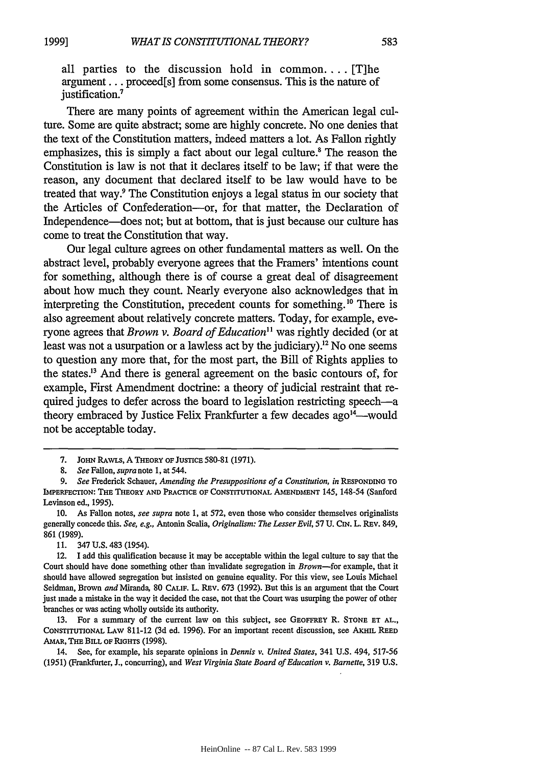all parties to the discussion hold in common.... [T]he argument... proceed[s] from some consensus. This is the nature of justification.<sup>7</sup>

There are many points of agreement within the American legal culture. Some are quite abstract; some are highly concrete. No one denies that the text of the Constitution matters, indeed matters a lot. As Fallon rightly emphasizes, this is simply a fact about our legal culture.<sup>8</sup> The reason the Constitution is law is not that it declares itself to be law; if that were the reason, any document that declared itself to be law would have to be treated that way The Constitution enjoys a legal status in our society that the Articles of Confederation-or, for that matter, the Declaration of Independence-does not; but at bottom, that is just because our culture has come to treat the Constitution that way.

Our legal culture agrees on other fundamental matters as well. On the abstract level, probably everyone agrees that the Framers' intentions count for something, although there is of course a great deal of disagreement about how much they count. Nearly everyone also acknowledges that in interpreting the Constitution, precedent counts for something.<sup>10</sup> There is also agreement about relatively concrete matters. Today, for example, everyone agrees that *Brown v. Board of Education"* was rightly decided (or at least was not a usurpation or a lawless act by the judiciary).<sup>12</sup> No one seems to question any more that, for the most part, the Bill of Rights applies to the states.<sup>13</sup> And there is general agreement on the basic contours of, for example, First Amendment doctrine: a theory of judicial restraint that required judges to defer across the board to legislation restricting speech-a theory embraced by Justice Felix Frankfurter a few decades ago<sup>14</sup>—would not be acceptable today.

11. 347 U.S. 483 (1954).

13. For a summary of the current law on this subject, see GEOFFREY R. **STONE ET AL.,** CONSTITUTIONAL LAW 811-12 (3d ed. 1996). For an important recent discussion, see **AKHiL** REED AMiAR, **THE** BILL OF **RIGHTS** (1998).

14. See, for example, his separate opinions in *Dennis v. United States,* 341 U.S. 494, 517-56 (1951) (Frankfurter, J., concurring), and *West Virginia State Board of Education v. Barnette,* 319 **U.S.**

**<sup>7.</sup>** JOHN **RAwLS, A THEORY OF JUSTICE** 580-81 (1971).

*<sup>8.</sup> See Fallon, supra note* 1, at 544.

*<sup>9.</sup> See* Frederick Schauer, *Amending the Presuppositions of a Constitution, in* **REsPONDING** TO **IMPERFECTION:** THE THEORY **AND** PRACTICE **OF CONSTITUTIONAL** AMENDmENT 145, 148-54 (Sanford Levinson ed., 1995).

**<sup>10.</sup>** As Fallon notes, *see supra* note 1, at 572, even those who consider themselves originalists generally concede this. *See, e.g.,* Antonin Scalia, *Originalism: The Lesser Evil,* 57 U. CIN. L. REv. 849, 861 (1989).

<sup>12.</sup> I add this qualification because it may be acceptable within the legal culture to say that the Court should have done something other than invalidate segregation in *Brown-for* example, that it should have allowed segregation but insisted on genuine equality. For this view, see Louis Michael Seidman, Brown *and* Miranda, 80 **CALIF.** L. REv. 673 (1992). But this is an argument that the Court just made a mistake in the way it decided the case, not that the Court was usurping the power of other branches or was acting wholly outside its authority.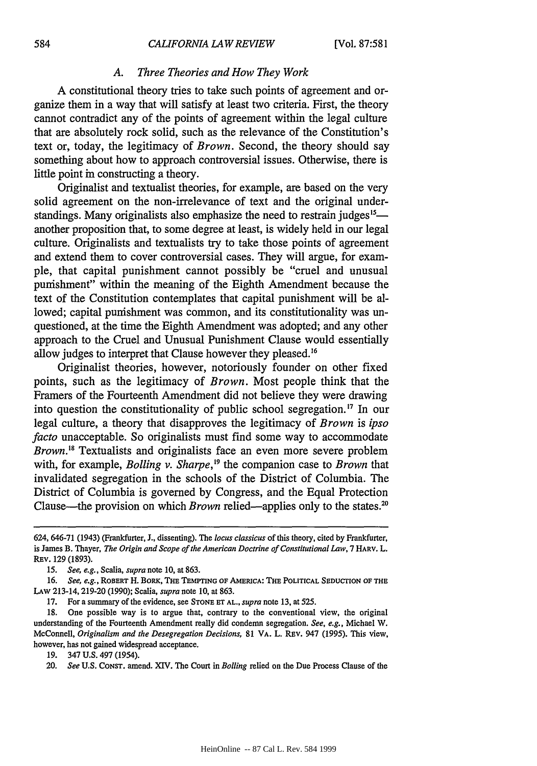#### *A. Three Theories and How They Work*

A constitutional theory tries to take such points of agreement and organize them in a way that will satisfy at least two criteria. First, the theory cannot contradict any of the points of agreement within the legal culture that are absolutely rock solid, such as the relevance of the Constitution's text or, today, the legitimacy of *Brown.* Second, the theory should say something about how to approach controversial issues. Otherwise, there is little point in constructing a theory.

Originalist and textualist theories, for example, are based on the very solid agreement on the non-irrelevance of text and the original understandings. Many originalists also emphasize the need to restrain judges<sup>15</sup>another proposition that, to some degree at least, is widely held in our legal culture. Originalists and textualists try to take those points of agreement and extend them to cover controversial cases. They will argue, for example, that capital punishment cannot possibly be "cruel and unusual punishment" within the meaning of the Eighth Amendment because the text of the Constitution contemplates that capital punishment will be allowed; capital punishment was common, and its constitutionality was unquestioned, at the time the Eighth Amendment was adopted; and any other approach to the Cruel and Unusual Punishment Clause would essentially allow judges to interpret that Clause however they pleased.<sup>16</sup>

Originalist theories, however, notoriously founder on other fixed points, such as the legitimacy of *Brown.* Most people think that the Framers of the Fourteenth Amendment did not believe they were drawing into question the constitutionality of public school segregation.<sup>17</sup> In our legal culture, a theory that disapproves the legitimacy of *Brown* is *ipso facto* unacceptable. So originalists must find some way to accommodate *Brown.*<sup>18</sup> Textualists and originalists face an even more severe problem with, for example, *Bolling v. Sharpe,'9* the companion case to *Brown* that invalidated segregation in the schools of the District of Columbia. The District of Columbia is governed by Congress, and the Equal Protection Clause—the provision on which *Brown* relied—applies only to the states.<sup>26</sup>

**19. 347 U.S. 497 (1954).**

**20.** *See* **U.S. CONST. amend. XIV. The Court in** *Bolling* **relied on** the **Due Process Clause of the**

**<sup>624, 646-71</sup>** (1943) (Frankfurter, **J.,** dissenting). The *locus classicus* **of** this theory, cited **by** Frankfurter, is James B. Thayer, *The Origin and Scope of the American Doctrine of Constitutional Law,* 7 HARV. L. REv. **129 (1893).**

**<sup>15.</sup>** *See, e.g.,* Scalia, *supra* note **10,** at **863.**

**<sup>16.</sup>** *See, e.g.,* **ROBERT H. BORK, THE TEMPTING OF AMERICA: THE POLITICAL SEDUCrION OF THE LAw 213-14, 219-20 (1990); Scalia,** *supra* **note 10, at 863.**

**<sup>17.</sup> For a summary of** the **evidence, see STONE ET AL.,** *supra* **note 13, at 525.**

**<sup>18.</sup> One possible way is to argue that, contrary to the conventional view, the original understanding of** the **Fourteenth Amendment really did condemn segregation.** *See, e.g.,* **Michael** W. **McConnell,** *Originalism and the Desegregation Decisions,* **81 VA. L. Rav. 947 (1995). This view, however, has not gained widespread acceptance.**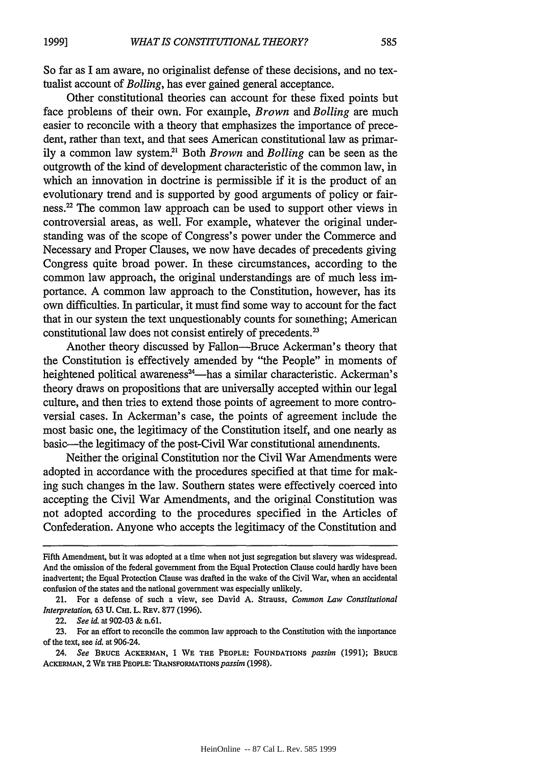So far as I am aware, no originalist defense of these decisions, and no textualist account of *Bolling,* has ever gained general acceptance.

Other constitutional theories can account for these fixed points but face problems of their own. For example, *Brown and Bolling* are much easier to reconcile with a theory that emphasizes the importance of precedent, rather than text, and that sees American constitutional law as primarily a common law system.1 Both *Brown and Boling* can be seen as the outgrowth of the kind of development characteristic of the common law, in which an innovation in doctrine is permissible if it is the product of an evolutionary trend and is supported by good arguments of policy or fairness.<sup>22</sup> The common law approach can be used to support other views in controversial areas, as well. For example, whatever the original understanding was of the scope of Congress's power under the Commerce and Necessary and Proper Clauses, we now have decades of precedents giving Congress quite broad power. In these circumstances, according to the common law approach, the original understandings are of much less importance. A common law approach to the Constitution, however, has its own difficulties. In particular, it must find some way to account for the fact that in our system the text unquestionably counts for something; American constitutional law does not consist entirely of precedents.<sup>23</sup>

Another theory discussed by Fallon---Bruce Ackerman's theory that the Constitution is effectively amended by "the People" in moments of heightened political awareness<sup>24</sup>—has a similar characteristic. Ackerman's theory draws on propositions that are universally accepted within our legal culture, and then tries to extend those points of agreement to more controversial cases. In Ackerman's case, the points of agreement include the most basic one, the legitimacy of the Constitution itself, and one nearly as basic-the legitimacy of the post-Civil War constitutional amendments.

Neither the original Constitution nor the Civil War Amendments were adopted in accordance with the procedures specified at that time for making such changes in the law. Southern states were effectively coerced into accepting the Civil War Amendments, and the original Constitution was not adopted according to the procedures specified in the Articles of Confederation. Anyone who accepts the legitimacy of the Constitution and

Fifth Amendment, but it was adopted at a time when not just segregation but slavery was widespread. And the omission of the federal government from the Equal Protection Clause could hardly have been inadvertent; the Equal Protection Clause was drafted in the wake of the Civil War, when an accidental **confusion of** the states **and** the national government was especially unlikely.

<sup>21.</sup> For a defense of such a view, see David **A.** Strauss, *Common Law Constitutional Interpretation,* **63 U. Cm.** L. **REv. 877 (1996).**

**<sup>22.</sup>** *See id.* at 902-03 & n.61.

**<sup>23.</sup>** For an effort to reconcile the common law approach to the Constitution with the importance of the text, see *id.* at 906-24.

**<sup>24.</sup>** *See* **BRUCE ACKERMAN, 1** WE **THE PEOPLE: FOUNDATIONS** *passim* **(1991); BRUCE** ACKRMAN, 2 WE **THE PEOPLE: TRANSFORMATIONS** *passim* **(1998).**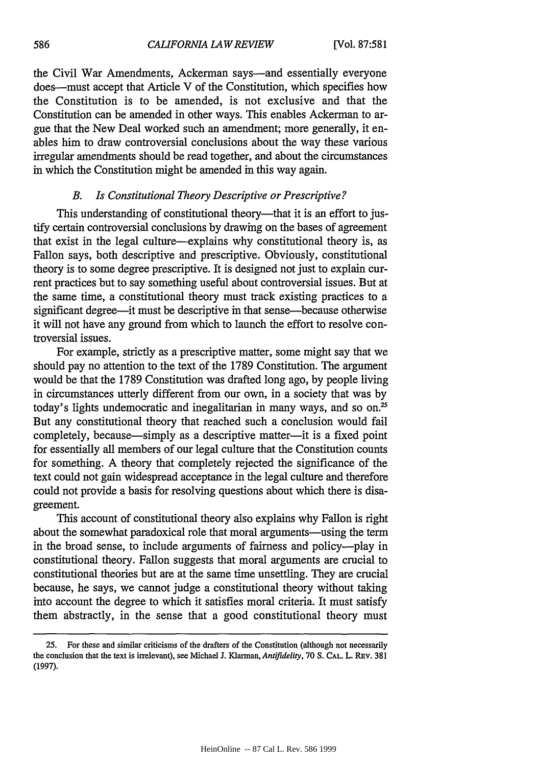the Civil War Amendments, Ackerman says—and essentially everyone does-must accept that Article V of the Constitution, which specifies how the Constitution is to be amended, is not exclusive and that the Constitution can be amended in other ways. This enables Ackerman to argue that the New Deal worked such an amendment; more generally, it enables him to draw controversial conclusions about the way these various irregular amendments should be read together, and about the circumstances in which the Constitution might be amended in this way again.

#### *B. Is Constitutional Theory Descriptive or Prescriptive?*

This understanding of constitutional theory—that it is an effort to justify certain controversial conclusions by drawing on the bases of agreement that exist in the legal culture-explains why constitutional theory is, as Fallon says, both descriptive and prescriptive. Obviously, constitutional theory is to some degree prescriptive. It is designed not just to explain current practices but to say something useful about controversial issues. But at the same time, a constitutional theory must track existing practices to a significant degree—it must be descriptive in that sense—because otherwise it will not have any ground from which to launch the effort to resolve controversial issues.

For example, strictly as a prescriptive matter, some might say that we should pay no attention to the text of the 1789 Constitution. The argument would be that the 1789 Constitution was drafted long ago, by people living in circumstances utterly different from our own, in a society that was by today's lights undemocratic and inegalitarian in many ways, and so on.<sup>25</sup> But any constitutional theory that reached such a conclusion would fail completely, because—simply as a descriptive matter—it is a fixed point for essentially all members of our legal culture that the Constitution counts for something. A theory that completely rejected the significance of the text could not gain widespread acceptance in the legal culture and therefore could not provide a basis for resolving questions about which there is disagreement.

This account of constitutional theory also explains why Fallon is right about the somewhat paradoxical role that moral arguments—using the term in the broad sense, to include arguments of fairness and policy-play in constitutional theory. Fallon suggests that moral arguments are crucial to constitutional theories but are at the same time unsettling. They are crucial because, he says, we cannot judge a constitutional theory without taking into account the degree to which it satisfies moral criteria. It must satisfy them abstractly, in the sense that a good constitutional theory must

**<sup>25.</sup> For** these and **similar** criticisms of the drafters of the Constitution (although **not** necessarily the conclusion that the text is irrelevant), see Michael **J.** Klarman, *Antifidelity,* **70 S. CAL.** L. **REv. 381 (1997).**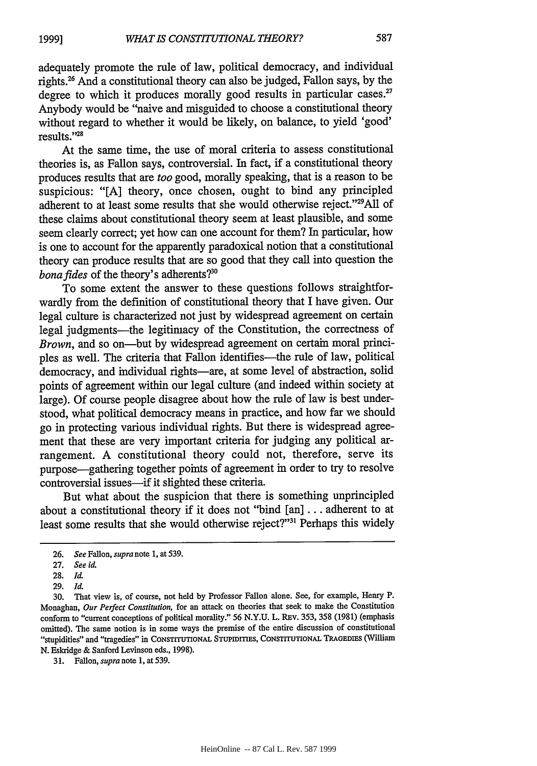adequately promote the rule of law, political democracy, and individual rights.26 And a constitutional theory can also be judged, Fallon says, by the degree to which it produces morally good results in particular cases.<sup>27</sup> Anybody would be "naive and misguided to choose a constitutional theory without regard to whether it would be likely, on balance, to yield 'good' results."

At the same time, the use of moral criteria to assess constitutional theories is, as Fallon says, controversial. In fact, if a constitutional theory produces results that are *too* good, morally speaking, that is a reason to be suspicious: "[A] theory, once chosen, ought to bind any principled adherent to at least some results that she would otherwise reject."29All of these claims about constitutional theory seem at least plausible, and some seem clearly correct; yet how can one account for them? In particular, how is one to account for the apparently paradoxical notion that a constitutional theory can produce results that are so good that they call into question the *bona fides* of the theory's adherents?<sup>30</sup>

To some extent the answer to these questions follows straightforwardly from the definition of constitutional theory that I have given. Our legal culture is characterized not just by widespread agreement on certain legal judgments—the legitimacy of the Constitution, the correctness of *Brown*, and so on—but by widespread agreement on certain moral principles as well. The criteria that Fallon identifies-the rule of law, political democracy, and individual rights-are, at some level of abstraction, solid points of agreement within our legal culture (and indeed within society at large). Of course people disagree about how the rule of law is best understood, what political democracy means in practice, and how far we should go in protecting various individual rights. But there is widespread agreement that these are very important criteria for judging any political arrangement. A constitutional theory could not, therefore, serve its purpose—gathering together points of agreement in order to try to resolve controversial issues—if it slighted these criteria.

But what about the suspicion that there is something unprincipled about a constitutional theory if it does not "bind [an] ... adherent to at least some results that she would otherwise reject?"<sup>31</sup> Perhaps this widely

**<sup>26.</sup>** *See* Fallon, *supra* note **1,** at **539.**

**<sup>27.</sup>** *See id.*

**<sup>28.</sup>** *1l*

**<sup>29.</sup> ld.**

**<sup>30.</sup>** That view is, of course, not held **by** Professor Fallon alone. See, for example, Henry P. Monaghan, *Our Perfect Constitution,* **for** an attack on theories that seek to make the Constitution **conform** to "current conceptions of political morality." **56 N.Y.U.** L. **REv. 353, 358 (1981)** (emphasis omitted). The same notion is in some ways the premise of the entire discussion of constitutional "stupidities" **and** "tragedies" in **CONSTITUTIONAL STUPIDITIES, CONSTITUTIONAL TRAGEDIES (Wiliam N. Eskridge & Sanford** Levinson **eds., 1998).**

**<sup>31.</sup> Fallon,** *supra note* **1, at 539.**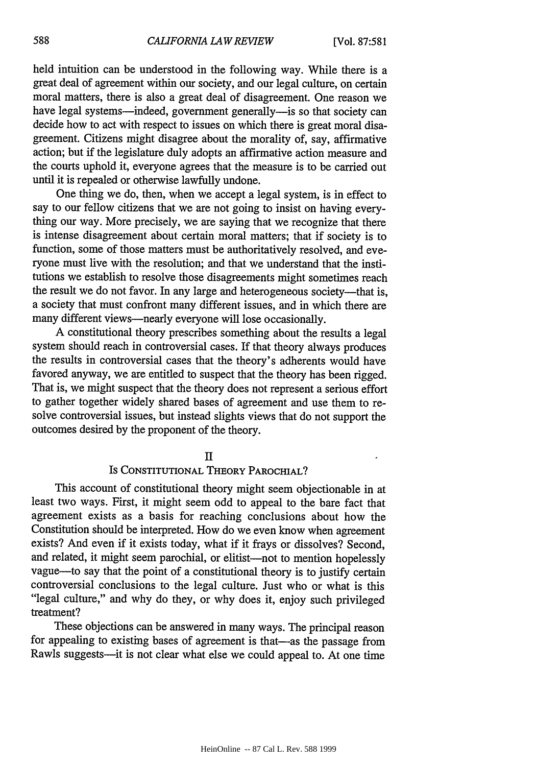held intuition can be understood in the following way. While there is a great deal of agreement within our society, and our legal culture, on certain moral matters, there is also a great deal of disagreement. One reason we have legal systems--indeed, government generally--is so that society can decide how to act with respect to issues on which there is great moral disagreement. Citizens might disagree about the morality of, say, affirmative action; but if the legislature duly adopts an affirmative action measure and the courts uphold it, everyone agrees that the measure is to be carried out until it is repealed or otherwise lawfully undone.

One thing we do, then, when we accept a legal system, is in effect to say to our fellow citizens that we are not going to insist on having everything our way. More precisely, we are saying that we recognize that there is intense disagreement about certain moral matters; that if society is to function, some of those matters must be authoritatively resolved, and everyone must live with the resolution; and that we understand that the institutions we establish to resolve those disagreements might sometimes reach the result we do not favor. In any large and heterogeneous society—that is, a society that must confront many different issues, and in which there are many different views-nearly everyone will lose occasionally.

A constitutional theory prescribes something about the results a legal system should reach in controversial cases. If that theory always produces the results in controversial cases that the theory's adherents would have favored anyway, we are entitled to suspect that the theory has been rigged. That is, we might suspect that the theory does not represent a serious effort to gather together widely shared bases of agreement and use them to resolve controversial issues, but instead slights views that do not support the outcomes desired by the proponent of the theory.

#### II

### IS CONSTITUTIONAL THEORY PAROCHIAL?

This account of constitutional theory might seem objectionable in at least two ways. First, it might seem odd to appeal to the bare fact that agreement exists as a basis for reaching conclusions about how the Constitution should be interpreted. How do we even know when agreement exists? And even if it exists today, what if it frays or dissolves? Second, and related, it might seem parochial, or elitist-not to mention hopelessly vague-to say that the point of a constitutional theory is to justify certain controversial conclusions to the legal culture. Just who or what is this "legal culture," and why do they, or why does it, enjoy such privileged treatment?

These objections can be answered in many ways. The principal reason for appealing to existing bases of agreement is that-as the passage from Rawls suggests-it is not clear what else we could appeal to. At one time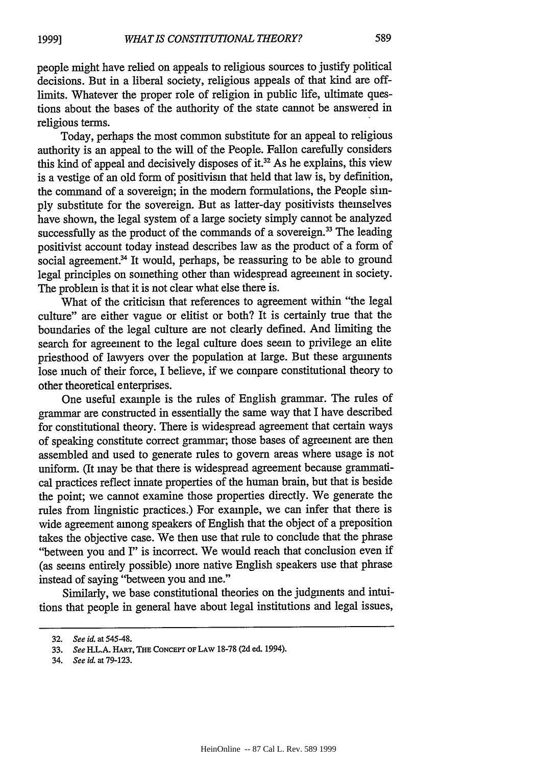people might have relied on appeals to religious sources to justify political decisions. But in a liberal society, religious appeals of that kind are offlimits. Whatever the proper role of religion in public life, ultimate questions about the bases of the authority of the state cannot be answered in religious terms.

Today, perhaps the most common substitute for an appeal to religious authority is an appeal to the will of the People. Fallon carefully considers this kind of appeal and decisively disposes of it. $32$  As he explains, this view is a vestige of an old form of positivism that held that law is, by definition, the command of a sovereign; in the modem formulations, the People simply substitute for the sovereign. But as latter-day positivists themselves have shown, the legal system of a large society simply cannot be analyzed successfully as the product of the commands of a sovereign.<sup>33</sup> The leading positivist account today instead describes law as the product of a form of social agreement.<sup>34</sup> It would, perhaps, be reassuring to be able to ground legal principles on something other than widespread agreement in society. The problem is that it is not clear what else there is.

What of the criticism that references to agreement within "the legal culture" are either vague or elitist or both? It is certainly true that the boundaries of the legal culture are not clearly defined. And limiting the search for agreement to the legal culture does seem to privilege an elite priesthood of lawyers over the population at large. But these arguments lose much of their force, I believe, if we compare constitutional theory to other theoretical enterprises.

One useful example is the rules of English grammar. The rules of grammar are constructed in essentially the same way that I have described for constitutional theory. There is widespread agreement that certain ways of speaking constitute correct grammar; those bases of agreement are then assembled and used to generate rules to govern areas where usage is not uniform. (It may be that there is widespread agreement because grammatical practices reflect innate properties of the human brain, but that is beside the point; we cannot examine those properties directly. We generate the rules from linguistic practices.) For example, we can infer that there is wide agreement among speakers of English that the object of a preposition takes the objective case. We then use that rule to conclude that the phrase "between you and I" is incorrect. We would reach that conclusion even if (as seems entirely possible) more native English speakers use that phrase instead of saying "between you and me."

Similarly, we base constitutional theories on the judgments and intuitions that people in general have about legal institutions and legal issues,

**<sup>32.</sup>** See id. at 545-48.

**<sup>33.</sup>** See H.L.A. **HART,** THE **CONCEPT** OF LAW **18-78 (2d** ed. 1994).

<sup>34.</sup> See *id* at **79-123.**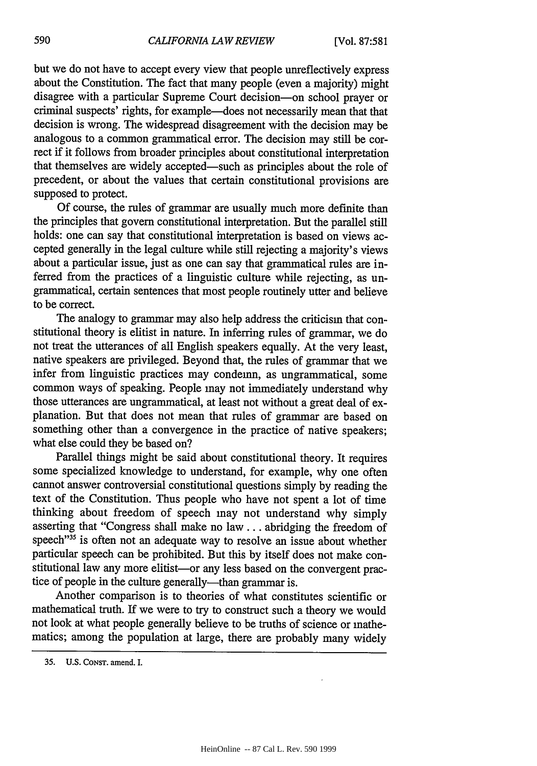but we do not have to accept every view that people unreflectively express about the Constitution. The fact that many people (even a majority) might disagree with a particular Supreme Court decision-on school prayer or criminal suspects' rights, for example-does not necessarily mean that that decision is wrong. The widespread disagreement with the decision may be analogous to a common grammatical error. The decision may still be correct if it follows from broader principles about constitutional interpretation that themselves are widely accepted—such as principles about the role of precedent, or about the values that certain constitutional provisions are supposed to protect.

Of course, the rules of grammar are usually much more definite than the principles that govern constitutional interpretation. But the parallel still holds: one can say that constitutional interpretation is based on views accepted generally in the legal culture while still rejecting a majority's views about a particular issue, just as one can say that grammatical rules are inferred from the practices of a linguistic culture while rejecting, as ungrammatical, certain sentences that most people routinely utter and believe to be correct.

The analogy to grammar may also help address the criticism that constitutional theory is elitist in nature. In inferring rules of grammar, we do not treat the utterances of all English speakers equally. At the very least, native speakers are privileged. Beyond that, the rules of grammar that we infer from linguistic practices may condemn, as ungrammatical, some common ways of speaking. People may not immediately understand why those utterances are ungrammatical, at least not without a great deal of explanation. But that does not mean that rules of grammar are based on something other than a convergence in the practice of native speakers; what else could they be based on?

Parallel things might be said about constitutional theory. It requires some specialized knowledge to understand, for example, why one often cannot answer controversial constitutional questions simply by reading the text of the Constitution. Thus people who have not spent a lot of time thinking about freedom of speech may not understand why simply asserting that "Congress shall make no law.., abridging the freedom of speech<sup>"35</sup> is often not an adequate way to resolve an issue about whether particular speech can be prohibited. But this by itself does not make constitutional law any more elitist-or any less based on the convergent practice of people in the culture generally—than grammar is.

Another comparison is to theories of what constitutes scientific or mathematical truth. If we were to try to construct such a theory we would not look at what people generally believe to be truths of science or mathematics; among the population at large, there are probably many widely

**<sup>35.</sup>** U.S. CONsT. amend. I.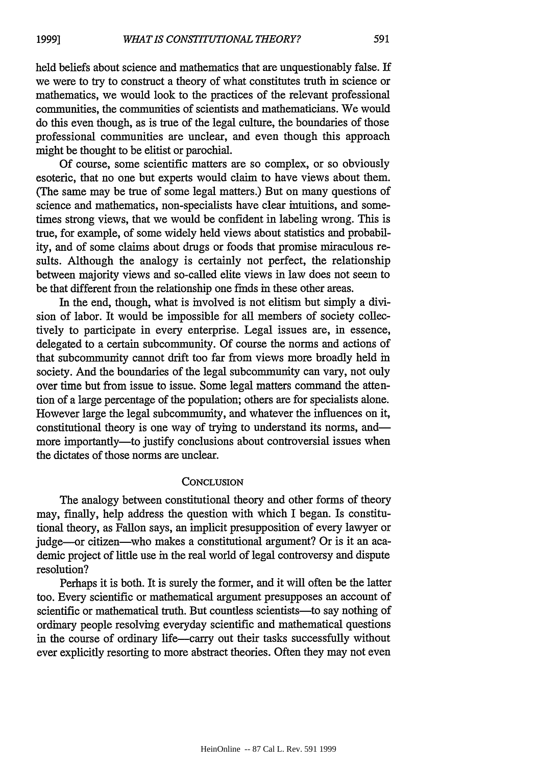held beliefs about science and mathematics that are unquestionably false. If we were to try to construct a theory of what constitutes truth in science or mathematics, we would look to the practices of the relevant professional communities, the communities of scientists and mathematicians. We would do this even though, as is true of the legal culture, the boundaries of those professional communities are unclear, and even though this approach might be thought to be elitist or parochial.

Of course, some scientific matters are so complex, or so obviously esoteric, that no one but experts would claim to have views about them. (The same may be true of some legal matters.) But on many questions of science and mathematics, non-specialists have clear intuitions, and sometimes strong views, that we would be confident in labeling wrong. This is true, for example, of some widely held views about statistics and probability, and of some claims about drugs or foods that promise miraculous results. Although the analogy is certainly not perfect, the relationship between majority views and so-called elite views in law does not seem to be that different from the relationship one finds in these other areas.

In the end, though, what is involved is not elitism but simply a division of labor. It would be impossible for all members of society collectively to participate in every enterprise. Legal issues are, in essence, delegated to a certain subcommunity. Of course the norms and actions of that subcommunity cannot drift too far from views more broadly held in society. And the boundaries of the legal subcommunity can vary, not only over time but from issue to issue. Some legal matters command the attention of a large percentage of the population; others are for specialists alone. However large the legal subcommunity, and whatever the influences on it, constitutional theory is one way of trying to understand its norms, andmore importantly—to justify conclusions about controversial issues when the dictates of those norms are unclear.

#### **CONCLUSION**

The analogy between constitutional theory and other forms of theory may, finally, help address the question with which I began. Is constitutional theory, as Fallon says, an implicit presupposition of every lawyer or judge--or citizen--who makes a constitutional argument? Or is it an academic project of little use in the real world of legal controversy and dispute resolution?

Perhaps it is both. It is surely the former, and it will often be the latter too. Every scientific or mathematical argument presupposes an account of scientific or mathematical truth. But countless scientists-to say nothing of ordinary people resolving everyday scientific and mathematical questions in the course of ordinary life-carry out their tasks successfully without ever explicitly resorting to more abstract theories. Often they may not even